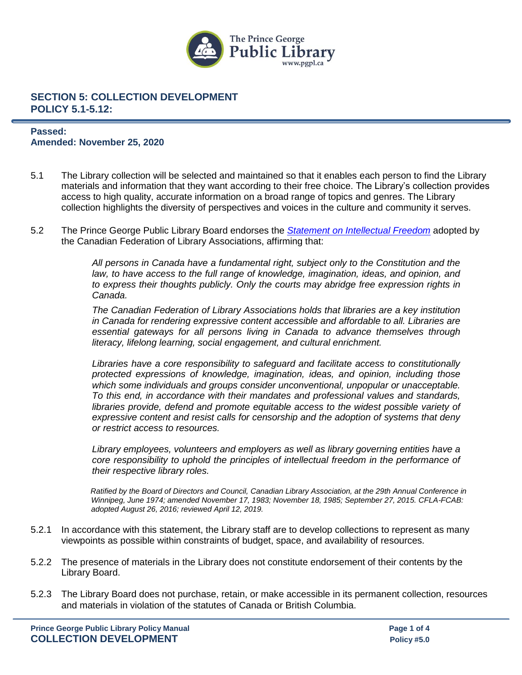

#### **Passed: Amended: November 25, 2020**

- 5.1 The Library collection will be selected and maintained so that it enables each person to find the Library materials and information that they want according to their free choice. The Library's collection provides access to high quality, accurate information on a broad range of topics and genres. The Library collection highlights the diversity of perspectives and voices in the culture and community it serves.
- 5.2 The Prince George Public Library Board endorses the *[Statement on Intellectual Freedom](http://cfla-fcab.ca/en/guidelines-and-position-papers/statement-on-intellectual-freedom-and-libraries)* adopted by the Canadian Federation of Library Associations, affirming that:

*All persons in Canada have a fundamental right, subject only to the Constitution and the*  law, to have access to the full range of knowledge, imagination, ideas, and opinion, and *to express their thoughts publicly. Only the courts may abridge free expression rights in Canada.*

*The Canadian Federation of Library Associations holds that libraries are a key institution in Canada for rendering expressive content accessible and affordable to all. Libraries are essential gateways for all persons living in Canada to advance themselves through literacy, lifelong learning, social engagement, and cultural enrichment.*

*Libraries have a core responsibility to safeguard and facilitate access to constitutionally protected expressions of knowledge, imagination, ideas, and opinion, including those which some individuals and groups consider unconventional, unpopular or unacceptable. To this end, in accordance with their mandates and professional values and standards,*  libraries provide, defend and promote equitable access to the widest possible variety of *expressive content and resist calls for censorship and the adoption of systems that deny or restrict access to resources.*

*Library employees, volunteers and employers as well as library governing entities have a core responsibility to uphold the principles of intellectual freedom in the performance of their respective library roles.*

*Ratified by the Board of Directors and Council, Canadian Library Association, at the 29th Annual Conference in Winnipeg, June 1974; amended November 17, 1983; November 18, 1985; September 27, 2015. CFLA-FCAB: adopted August 26, 2016; reviewed April 12, 2019.*

- 5.2.1 In accordance with this statement, the Library staff are to develop collections to represent as many viewpoints as possible within constraints of budget, space, and availability of resources.
- 5.2.2 The presence of materials in the Library does not constitute endorsement of their contents by the Library Board.
- 5.2.3 The Library Board does not purchase, retain, or make accessible in its permanent collection, resources and materials in violation of the statutes of Canada or British Columbia.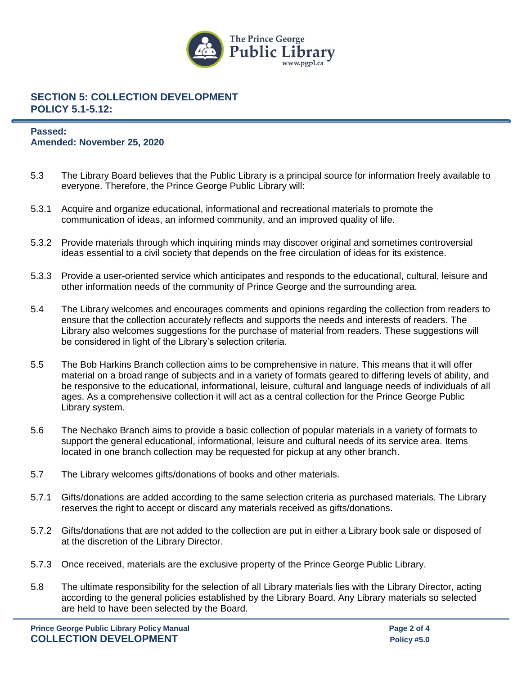

### **Passed: Amended: November 25, 2020**

- 5.3 The Library Board believes that the Public Library is a principal source for information freely available to everyone. Therefore, the Prince George Public Library will:
- 5.3.1 Acquire and organize educational, informational and recreational materials to promote the communication of ideas, an informed community, and an improved quality of life.
- 5.3.2 Provide materials through which inquiring minds may discover original and sometimes controversial ideas essential to a civil society that depends on the free circulation of ideas for its existence.
- 5.3.3 Provide a user-oriented service which anticipates and responds to the educational, cultural, leisure and other information needs of the community of Prince George and the surrounding area.
- 5.4 The Library welcomes and encourages comments and opinions regarding the collection from readers to ensure that the collection accurately reflects and supports the needs and interests of readers. The Library also welcomes suggestions for the purchase of material from readers. These suggestions will be considered in light of the Library's selection criteria.
- 5.5 The Bob Harkins Branch collection aims to be comprehensive in nature. This means that it will offer material on a broad range of subjects and in a variety of formats geared to differing levels of ability, and be responsive to the educational, informational, leisure, cultural and language needs of individuals of all ages. As a comprehensive collection it will act as a central collection for the Prince George Public Library system.
- 5.6 The Nechako Branch aims to provide a basic collection of popular materials in a variety of formats to support the general educational, informational, leisure and cultural needs of its service area. Items located in one branch collection may be requested for pickup at any other branch.
- 5.7 The Library welcomes gifts/donations of books and other materials.
- 5.7.1 Gifts/donations are added according to the same selection criteria as purchased materials. The Library reserves the right to accept or discard any materials received as gifts/donations.
- 5.7.2 Gifts/donations that are not added to the collection are put in either a Library book sale or disposed of at the discretion of the Library Director.
- 5.7.3 Once received, materials are the exclusive property of the Prince George Public Library.
- 5.8 The ultimate responsibility for the selection of all Library materials lies with the Library Director, acting according to the general policies established by the Library Board. Any Library materials so selected are held to have been selected by the Board.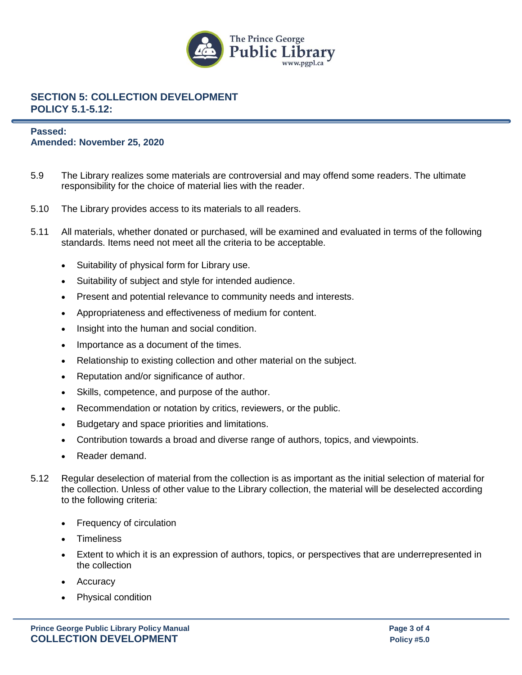

### **Passed: Amended: November 25, 2020**

- 5.9 The Library realizes some materials are controversial and may offend some readers. The ultimate responsibility for the choice of material lies with the reader.
- 5.10 The Library provides access to its materials to all readers.
- 5.11 All materials, whether donated or purchased, will be examined and evaluated in terms of the following standards. Items need not meet all the criteria to be acceptable.
	- Suitability of physical form for Library use.
	- Suitability of subject and style for intended audience.
	- Present and potential relevance to community needs and interests.
	- Appropriateness and effectiveness of medium for content.
	- Insight into the human and social condition.
	- Importance as a document of the times.
	- Relationship to existing collection and other material on the subject.
	- Reputation and/or significance of author.
	- Skills, competence, and purpose of the author.
	- Recommendation or notation by critics, reviewers, or the public.
	- Budgetary and space priorities and limitations.
	- Contribution towards a broad and diverse range of authors, topics, and viewpoints.
	- Reader demand.
- 5.12 Regular deselection of material from the collection is as important as the initial selection of material for the collection. Unless of other value to the Library collection, the material will be deselected according to the following criteria:
	- Frequency of circulation
	- Timeliness
	- Extent to which it is an expression of authors, topics, or perspectives that are underrepresented in the collection
	- **Accuracy**
	- Physical condition